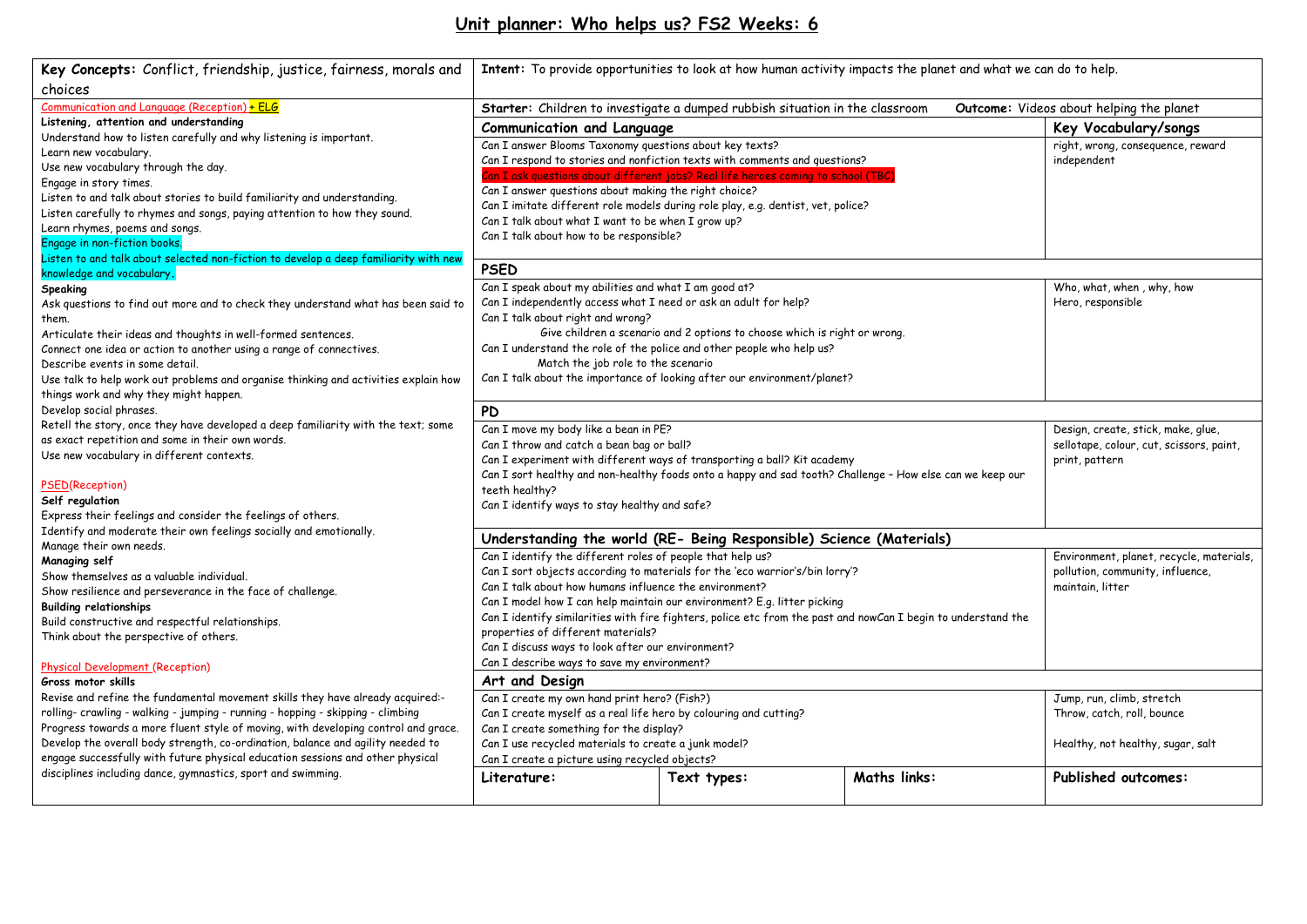# **Unit planner: Who helps us? FS2 Weeks: 6**

| Key Concepts: Conflict, friendship, justice, fairness, morals and                                                             | Intent: To provide opportunities to look at how human activity impacts the planet and what we can do to help.            |                                                                                  |                     |                                          |
|-------------------------------------------------------------------------------------------------------------------------------|--------------------------------------------------------------------------------------------------------------------------|----------------------------------------------------------------------------------|---------------------|------------------------------------------|
| choices                                                                                                                       |                                                                                                                          |                                                                                  |                     |                                          |
| Communication and Language (Reception) + ELG                                                                                  | Starter: Children to investigate a dumped rubbish situation in the classroom<br>Outcome: Videos about helping the planet |                                                                                  |                     |                                          |
| Listening, attention and understanding                                                                                        | <b>Communication and Language</b>                                                                                        |                                                                                  |                     | Key Vocabulary/songs                     |
| Understand how to listen carefully and why listening is important.                                                            | Can I answer Blooms Taxonomy questions about key texts?                                                                  |                                                                                  |                     | right, wrong, consequence, reward        |
| Learn new vocabulary.                                                                                                         | Can I respond to stories and nonfiction texts with comments and questions?                                               |                                                                                  |                     | independent                              |
| Use new vocabulary through the day.                                                                                           |                                                                                                                          | Can I ask questions about different jobs? Real life heroes coming to school (TBC |                     |                                          |
| Engage in story times.                                                                                                        | Can I answer questions about making the right choice?                                                                    |                                                                                  |                     |                                          |
| Listen to and talk about stories to build familiarity and understanding.                                                      | Can I imitate different role models during role play, e.g. dentist, vet, police?                                         |                                                                                  |                     |                                          |
| Listen carefully to rhymes and songs, paying attention to how they sound.                                                     | Can I talk about what I want to be when I grow up?                                                                       |                                                                                  |                     |                                          |
| Learn rhymes, poems and songs.                                                                                                | Can I talk about how to be responsible?                                                                                  |                                                                                  |                     |                                          |
| Engage in non-fiction books.                                                                                                  |                                                                                                                          |                                                                                  |                     |                                          |
| Listen to and talk about selected non-fiction to develop a deep familiarity with new                                          | <b>PSED</b>                                                                                                              |                                                                                  |                     |                                          |
| knowledge and vocabulary.                                                                                                     | Can I speak about my abilities and what I am good at?                                                                    |                                                                                  |                     |                                          |
| Speaking                                                                                                                      |                                                                                                                          |                                                                                  |                     | Who, what, when, why, how                |
| Ask questions to find out more and to check they understand what has been said to                                             | Can I independently access what I need or ask an adult for help?<br>Can I talk about right and wrong?                    |                                                                                  |                     | Hero, responsible                        |
| them.                                                                                                                         |                                                                                                                          | Give children a scenario and 2 options to choose which is right or wrong.        |                     |                                          |
| Articulate their ideas and thoughts in well-formed sentences.                                                                 |                                                                                                                          |                                                                                  |                     |                                          |
| Connect one idea or action to another using a range of connectives.                                                           | Can I understand the role of the police and other people who help us?<br>Match the job role to the scenario              |                                                                                  |                     |                                          |
| Describe events in some detail.                                                                                               |                                                                                                                          | Can I talk about the importance of looking after our environment/planet?         |                     |                                          |
| Use talk to help work out problems and organise thinking and activities explain how<br>things work and why they might happen. |                                                                                                                          |                                                                                  |                     |                                          |
| Develop social phrases.                                                                                                       |                                                                                                                          |                                                                                  |                     |                                          |
| Retell the story, once they have developed a deep familiarity with the text; some                                             | <b>PD</b>                                                                                                                |                                                                                  |                     |                                          |
| as exact repetition and some in their own words.                                                                              | Can I move my body like a bean in PE?                                                                                    |                                                                                  |                     | Design, create, stick, make, glue,       |
| Use new vocabulary in different contexts.                                                                                     | Can I throw and catch a bean bag or ball?                                                                                |                                                                                  |                     | sellotape, colour, cut, scissors, paint, |
|                                                                                                                               |                                                                                                                          | Can I experiment with different ways of transporting a ball? Kit academy         |                     | print, pattern                           |
| <b>PSED(Reception)</b>                                                                                                        | Can I sort healthy and non-healthy foods onto a happy and sad tooth? Challenge - How else can we keep our                |                                                                                  |                     |                                          |
| Self regulation                                                                                                               | teeth healthy?                                                                                                           |                                                                                  |                     |                                          |
| Express their feelings and consider the feelings of others.                                                                   | Can I identify ways to stay healthy and safe?                                                                            |                                                                                  |                     |                                          |
| Identify and moderate their own feelings socially and emotionally.                                                            |                                                                                                                          |                                                                                  |                     |                                          |
| Manage their own needs.                                                                                                       | Understanding the world (RE- Being Responsible) Science (Materials)                                                      |                                                                                  |                     |                                          |
| Managing self                                                                                                                 | Can I identify the different roles of people that help us?                                                               |                                                                                  |                     | Environment, planet, recycle, materials, |
| Show themselves as a valuable individual.                                                                                     | Can I sort objects according to materials for the 'eco warrior's/bin lorry'?                                             |                                                                                  |                     | pollution, community, influence,         |
| Show resilience and perseverance in the face of challenge.                                                                    | Can I talk about how humans influence the environment?<br>maintain, litter                                               |                                                                                  |                     |                                          |
| <b>Building relationships</b>                                                                                                 | Can I model how I can help maintain our environment? E.g. litter picking                                                 |                                                                                  |                     |                                          |
| Build constructive and respectful relationships.                                                                              | Can I identify similarities with fire fighters, police etc from the past and nowCan I begin to understand the            |                                                                                  |                     |                                          |
| Think about the perspective of others.                                                                                        | properties of different materials?                                                                                       |                                                                                  |                     |                                          |
|                                                                                                                               | Can I discuss ways to look after our environment?                                                                        |                                                                                  |                     |                                          |
| Physical Development (Reception)                                                                                              | Can I describe ways to save my environment?<br>Art and Design                                                            |                                                                                  |                     |                                          |
| Gross motor skills                                                                                                            |                                                                                                                          |                                                                                  |                     |                                          |
| Revise and refine the fundamental movement skills they have already acquired:-                                                | Can I create my own hand print hero? (Fish?)                                                                             | Jump, run, climb, stretch                                                        |                     |                                          |
| rolling- crawling - walking - jumping - running - hopping - skipping - climbing                                               | Can I create myself as a real life hero by colouring and cutting?                                                        |                                                                                  |                     | Throw, catch, roll, bounce               |
| Progress towards a more fluent style of moving, with developing control and grace.                                            | Can I create something for the display?                                                                                  |                                                                                  |                     |                                          |
| Develop the overall body strength, co-ordination, balance and agility needed to                                               | Can I use recycled materials to create a junk model?                                                                     |                                                                                  |                     | Healthy, not healthy, sugar, salt        |
| engage successfully with future physical education sessions and other physical                                                | Can I create a picture using recycled objects?                                                                           |                                                                                  |                     |                                          |
| disciplines including dance, gymnastics, sport and swimming.                                                                  | Literature:                                                                                                              | Text types:                                                                      | <b>Maths links:</b> | Published outcomes:                      |
|                                                                                                                               |                                                                                                                          |                                                                                  |                     |                                          |